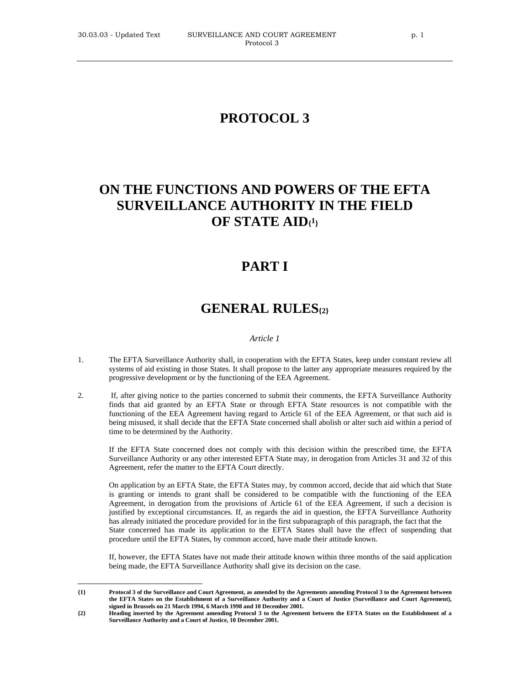# **PROTOCOL 3**

# **ON THE FUNCTIONS AND POWERS OF THE EFTA SURVEILLANCE AUTHORITY IN THE FIELD OF STATE AID{[1}](#page-0-0)**

## **PART I**

## **GENERAL RULES{[2}](#page-0-1)**

## *Article 1*

- 1. The EFTA Surveillance Authority shall, in cooperation with the EFTA States, keep under constant review all systems of aid existing in those States. It shall propose to the latter any appropriate measures required by the progressive development or by the functioning of the EEA Agreement.
- 2. If, after giving notice to the parties concerned to submit their comments, the EFTA Surveillance Authority finds that aid granted by an EFTA State or through EFTA State resources is not compatible with the functioning of the EEA Agreement having regard to Article 61 of the EEA Agreement, or that such aid is being misused, it shall decide that the EFTA State concerned shall abolish or alter such aid within a period of time to be determined by the Authority.

If the EFTA State concerned does not comply with this decision within the prescribed time, the EFTA Surveillance Authority or any other interested EFTA State may, in derogation from Articles 31 and 32 of this Agreement, refer the matter to the EFTA Court directly.

On application by an EFTA State, the EFTA States may, by common accord, decide that aid which that State is granting or intends to grant shall be considered to be compatible with the functioning of the EEA Agreement, in derogation from the provisions of Article 61 of the EEA Agreement, if such a decision is justified by exceptional circumstances. If, as regards the aid in question, the EFTA Surveillance Authority has already initiated the procedure provided for in the first subparagraph of this paragraph, the fact that the State concerned has made its application to the EFTA States shall have the effect of suspending that procedure until the EFTA States, by common accord, have made their attitude known.

If, however, the EFTA States have not made their attitude known within three months of the said application being made, the EFTA Surveillance Authority shall give its decision on the case.

<span id="page-0-0"></span>**<sup>{1}</sup> Protocol 3 of the Surveillance and Court Agreement, as amended by the Agreements amending Protocol 3 to the Agreement between the EFTA States on the Establishment of a Surveillance Authority and a Court of Justice (Surveillance and Court Agreement), signed in Brussels on 21 March 1994, 6 March 1998 and 10 December 2001.** 

<span id="page-0-1"></span>**<sup>{2}</sup> Heading inserted by the Agreement amending Protocol 3 to the Agreement between the EFTA States on the Establishment of a Surveillance Authority and a Court of Justice, 10 December 2001.**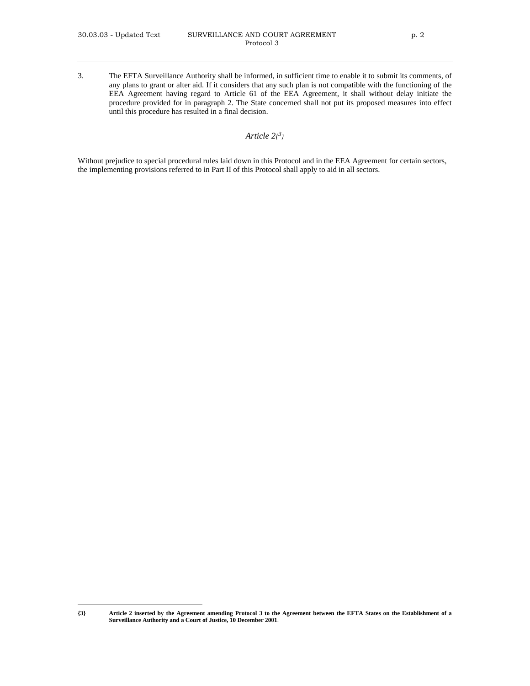3. The EFTA Surveillance Authority shall be informed, in sufficient time to enable it to submit its comments, of any plans to grant or alter aid. If it considers that any such plan is not compatible with the functioning of the EEA Agreement having regard to Article 61 of the EEA Agreement, it shall without delay initiate the procedure provided for in paragraph 2. The State concerned shall not put its proposed measures into effect until this procedure has resulted in a final decision.

## *Article 2{[3](#page-1-0)}*

Without prejudice to special procedural rules laid down in this Protocol and in the EEA Agreement for certain sectors, the implementing provisions referred to in Part II of this Protocol shall apply to aid in all sectors.

<span id="page-1-0"></span>**<sup>{3}</sup> Article 2 inserted by the Agreement amending Protocol 3 to the Agreement between the EFTA States on the Establishment of a Surveillance Authority and a Court of Justice, 10 December 2001**.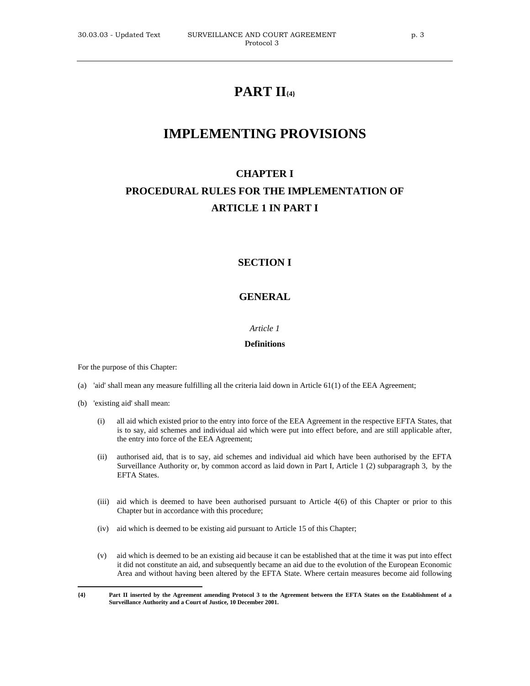# **PART II{[4}](#page-2-0)**

## **IMPLEMENTING PROVISIONS**

# **CHAPTER I PROCEDURAL RULES FOR THE IMPLEMENTATION OF ARTICLE 1 IN PART I**

## **SECTION I**

## **GENERAL**

## *Article 1*

## **Definitions**

For the purpose of this Chapter:

- (a) 'aid' shall mean any measure fulfilling all the criteria laid down in Article  $61(1)$  of the EEA Agreement;
- (b) 'existing aid' shall mean:
	- (i) all aid which existed prior to the entry into force of the EEA Agreement in the respective EFTA States, that is to say, aid schemes and individual aid which were put into effect before, and are still applicable after, the entry into force of the EEA Agreement;
	- (ii) authorised aid, that is to say, aid schemes and individual aid which have been authorised by the EFTA Surveillance Authority or, by common accord as laid down in Part I, Article 1 (2) subparagraph 3, by the EFTA States.
	- (iii) aid which is deemed to have been authorised pursuant to Article 4(6) of this Chapter or prior to this Chapter but in accordance with this procedure;
	- (iv) aid which is deemed to be existing aid pursuant to Article 15 of this Chapter;
	- (v) aid which is deemed to be an existing aid because it can be established that at the time it was put into effect it did not constitute an aid, and subsequently became an aid due to the evolution of the European Economic Area and without having been altered by the EFTA State. Where certain measures become aid following

<span id="page-2-0"></span> $\overline{a}$ **{4} Part II inserted by the Agreement amending Protocol 3 to the Agreement between the EFTA States on the Establishment of a Surveillance Authority and a Court of Justice, 10 December 2001.**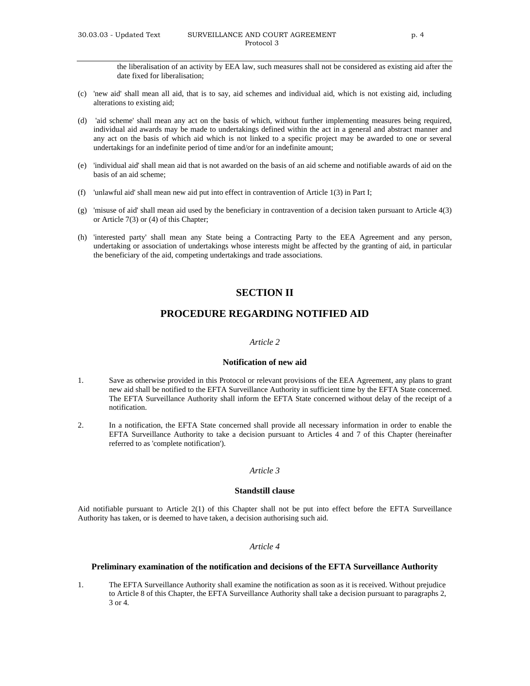the liberalisation of an activity by EEA law, such measures shall not be considered as existing aid after the date fixed for liberalisation;

- (c) 'new aid' shall mean all aid, that is to say, aid schemes and individual aid, which is not existing aid, including alterations to existing aid;
- (d) 'aid scheme' shall mean any act on the basis of which, without further implementing measures being required, individual aid awards may be made to undertakings defined within the act in a general and abstract manner and any act on the basis of which aid which is not linked to a specific project may be awarded to one or several undertakings for an indefinite period of time and/or for an indefinite amount;
- (e) 'individual aid' shall mean aid that is not awarded on the basis of an aid scheme and notifiable awards of aid on the basis of an aid scheme;
- (f) 'unlawful aid' shall mean new aid put into effect in contravention of Article 1(3) in Part I;
- (g) 'misuse of aid' shall mean aid used by the beneficiary in contravention of a decision taken pursuant to Article 4(3) or Article 7(3) or (4) of this Chapter;
- (h) 'interested party' shall mean any State being a Contracting Party to the EEA Agreement and any person, undertaking or association of undertakings whose interests might be affected by the granting of aid, in particular the beneficiary of the aid, competing undertakings and trade associations.

## **SECTION II**

## **PROCEDURE REGARDING NOTIFIED AID**

### *Article 2*

## **Notification of new aid**

- 1. Save as otherwise provided in this Protocol or relevant provisions of the EEA Agreement, any plans to grant new aid shall be notified to the EFTA Surveillance Authority in sufficient time by the EFTA State concerned. The EFTA Surveillance Authority shall inform the EFTA State concerned without delay of the receipt of a notification.
- 2. In a notification, the EFTA State concerned shall provide all necessary information in order to enable the EFTA Surveillance Authority to take a decision pursuant to Articles 4 and 7 of this Chapter (hereinafter referred to as 'complete notification').

## *Article 3*

#### **Standstill clause**

Aid notifiable pursuant to Article 2(1) of this Chapter shall not be put into effect before the EFTA Surveillance Authority has taken, or is deemed to have taken, a decision authorising such aid.

## *Article 4*

## **Preliminary examination of the notification and decisions of the EFTA Surveillance Authority**

1. The EFTA Surveillance Authority shall examine the notification as soon as it is received. Without prejudice to Article 8 of this Chapter, the EFTA Surveillance Authority shall take a decision pursuant to paragraphs 2, 3 or 4.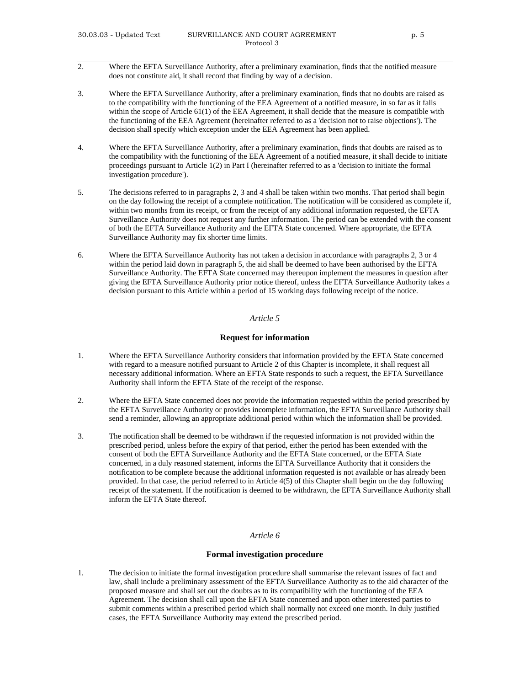- 2. Where the EFTA Surveillance Authority, after a preliminary examination, finds that the notified measure does not constitute aid, it shall record that finding by way of a decision.
- 3. Where the EFTA Surveillance Authority, after a preliminary examination, finds that no doubts are raised as to the compatibility with the functioning of the EEA Agreement of a notified measure, in so far as it falls within the scope of Article 61(1) of the EEA Agreement, it shall decide that the measure is compatible with the functioning of the EEA Agreement (hereinafter referred to as a 'decision not to raise objections'). The decision shall specify which exception under the EEA Agreement has been applied.
- 4. Where the EFTA Surveillance Authority, after a preliminary examination, finds that doubts are raised as to the compatibility with the functioning of the EEA Agreement of a notified measure, it shall decide to initiate proceedings pursuant to Article 1(2) in Part I (hereinafter referred to as a 'decision to initiate the formal investigation procedure').
- 5. The decisions referred to in paragraphs 2, 3 and 4 shall be taken within two months. That period shall begin on the day following the receipt of a complete notification. The notification will be considered as complete if, within two months from its receipt, or from the receipt of any additional information requested, the EFTA Surveillance Authority does not request any further information. The period can be extended with the consent of both the EFTA Surveillance Authority and the EFTA State concerned. Where appropriate, the EFTA Surveillance Authority may fix shorter time limits.
- 6. Where the EFTA Surveillance Authority has not taken a decision in accordance with paragraphs 2, 3 or 4 within the period laid down in paragraph 5, the aid shall be deemed to have been authorised by the EFTA Surveillance Authority. The EFTA State concerned may thereupon implement the measures in question after giving the EFTA Surveillance Authority prior notice thereof, unless the EFTA Surveillance Authority takes a decision pursuant to this Article within a period of 15 working days following receipt of the notice.

## *Article 5*

## **Request for information**

- 1. Where the EFTA Surveillance Authority considers that information provided by the EFTA State concerned with regard to a measure notified pursuant to Article 2 of this Chapter is incomplete, it shall request all necessary additional information. Where an EFTA State responds to such a request, the EFTA Surveillance Authority shall inform the EFTA State of the receipt of the response.
- 2. Where the EFTA State concerned does not provide the information requested within the period prescribed by the EFTA Surveillance Authority or provides incomplete information, the EFTA Surveillance Authority shall send a reminder, allowing an appropriate additional period within which the information shall be provided.
- 3. The notification shall be deemed to be withdrawn if the requested information is not provided within the prescribed period, unless before the expiry of that period, either the period has been extended with the consent of both the EFTA Surveillance Authority and the EFTA State concerned, or the EFTA State concerned, in a duly reasoned statement, informs the EFTA Surveillance Authority that it considers the notification to be complete because the additional information requested is not available or has already been provided. In that case, the period referred to in Article 4(5) of this Chapter shall begin on the day following receipt of the statement. If the notification is deemed to be withdrawn, the EFTA Surveillance Authority shall inform the EFTA State thereof.

## *Article 6*

## **Formal investigation procedure**

1. The decision to initiate the formal investigation procedure shall summarise the relevant issues of fact and law, shall include a preliminary assessment of the EFTA Surveillance Authority as to the aid character of the proposed measure and shall set out the doubts as to its compatibility with the functioning of the EEA Agreement. The decision shall call upon the EFTA State concerned and upon other interested parties to submit comments within a prescribed period which shall normally not exceed one month. In duly justified cases, the EFTA Surveillance Authority may extend the prescribed period.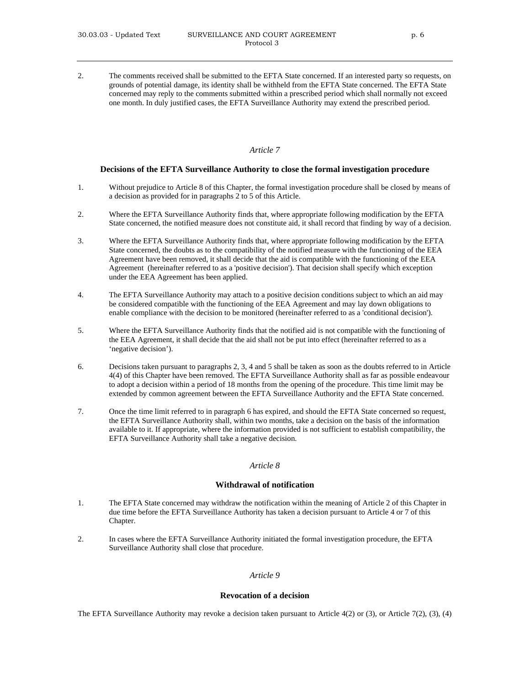2. The comments received shall be submitted to the EFTA State concerned. If an interested party so requests, on grounds of potential damage, its identity shall be withheld from the EFTA State concerned. The EFTA State concerned may reply to the comments submitted within a prescribed period which shall normally not exceed one month. In duly justified cases, the EFTA Surveillance Authority may extend the prescribed period.

## *Article 7*

## **Decisions of the EFTA Surveillance Authority to close the formal investigation procedure**

- 1. Without prejudice to Article 8 of this Chapter, the formal investigation procedure shall be closed by means of a decision as provided for in paragraphs 2 to 5 of this Article.
- 2. Where the EFTA Surveillance Authority finds that, where appropriate following modification by the EFTA State concerned, the notified measure does not constitute aid, it shall record that finding by way of a decision.
- 3. Where the EFTA Surveillance Authority finds that, where appropriate following modification by the EFTA State concerned, the doubts as to the compatibility of the notified measure with the functioning of the EEA Agreement have been removed, it shall decide that the aid is compatible with the functioning of the EEA Agreement (hereinafter referred to as a 'positive decision'). That decision shall specify which exception under the EEA Agreement has been applied.
- 4. The EFTA Surveillance Authority may attach to a positive decision conditions subject to which an aid may be considered compatible with the functioning of the EEA Agreement and may lay down obligations to enable compliance with the decision to be monitored (hereinafter referred to as a 'conditional decision').
- 5. Where the EFTA Surveillance Authority finds that the notified aid is not compatible with the functioning of the EEA Agreement, it shall decide that the aid shall not be put into effect (hereinafter referred to as a 'negative decision').
- 6. Decisions taken pursuant to paragraphs 2, 3, 4 and 5 shall be taken as soon as the doubts referred to in Article 4(4) of this Chapter have been removed. The EFTA Surveillance Authority shall as far as possible endeavour to adopt a decision within a period of 18 months from the opening of the procedure. This time limit may be extended by common agreement between the EFTA Surveillance Authority and the EFTA State concerned.
- 7. Once the time limit referred to in paragraph 6 has expired, and should the EFTA State concerned so request, the EFTA Surveillance Authority shall, within two months, take a decision on the basis of the information available to it. If appropriate, where the information provided is not sufficient to establish compatibility, the EFTA Surveillance Authority shall take a negative decision.

## *Article 8*

### **Withdrawal of notification**

- 1. The EFTA State concerned may withdraw the notification within the meaning of Article 2 of this Chapter in due time before the EFTA Surveillance Authority has taken a decision pursuant to Article 4 or 7 of this Chapter.
- 2. In cases where the EFTA Surveillance Authority initiated the formal investigation procedure, the EFTA Surveillance Authority shall close that procedure.

## *Article 9*

## **Revocation of a decision**

The EFTA Surveillance Authority may revoke a decision taken pursuant to Article 4(2) or (3), or Article 7(2), (3), (4)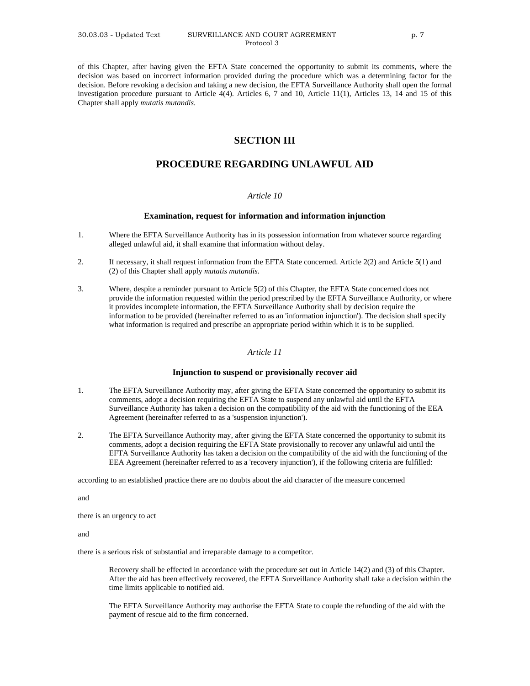of this Chapter, after having given the EFTA State concerned the opportunity to submit its comments, where the decision was based on incorrect information provided during the procedure which was a determining factor for the decision. Before revoking a decision and taking a new decision, the EFTA Surveillance Authority shall open the formal investigation procedure pursuant to Article 4(4). Articles 6, 7 and 10, Article 11(1), Articles 13, 14 and 15 of this Chapter shall apply *mutatis mutandis*.

## **SECTION III**

## **PROCEDURE REGARDING UNLAWFUL AID**

## *Article 10*

## **Examination, request for information and information injunction**

- 1. Where the EFTA Surveillance Authority has in its possession information from whatever source regarding alleged unlawful aid, it shall examine that information without delay.
- 2. If necessary, it shall request information from the EFTA State concerned. Article 2(2) and Article 5(1) and (2) of this Chapter shall apply *mutatis mutandis*.
- 3. Where, despite a reminder pursuant to Article 5(2) of this Chapter, the EFTA State concerned does not provide the information requested within the period prescribed by the EFTA Surveillance Authority, or where it provides incomplete information, the EFTA Surveillance Authority shall by decision require the information to be provided (hereinafter referred to as an 'information injunction'). The decision shall specify what information is required and prescribe an appropriate period within which it is to be supplied.

## *Article 11*

#### **Injunction to suspend or provisionally recover aid**

- 1. The EFTA Surveillance Authority may, after giving the EFTA State concerned the opportunity to submit its comments, adopt a decision requiring the EFTA State to suspend any unlawful aid until the EFTA Surveillance Authority has taken a decision on the compatibility of the aid with the functioning of the EEA Agreement (hereinafter referred to as a 'suspension injunction').
- 2. The EFTA Surveillance Authority may, after giving the EFTA State concerned the opportunity to submit its comments, adopt a decision requiring the EFTA State provisionally to recover any unlawful aid until the EFTA Surveillance Authority has taken a decision on the compatibility of the aid with the functioning of the EEA Agreement (hereinafter referred to as a 'recovery injunction'), if the following criteria are fulfilled:

according to an established practice there are no doubts about the aid character of the measure concerned

and

there is an urgency to act

and

there is a serious risk of substantial and irreparable damage to a competitor.

Recovery shall be effected in accordance with the procedure set out in Article 14(2) and (3) of this Chapter. After the aid has been effectively recovered, the EFTA Surveillance Authority shall take a decision within the time limits applicable to notified aid.

The EFTA Surveillance Authority may authorise the EFTA State to couple the refunding of the aid with the payment of rescue aid to the firm concerned.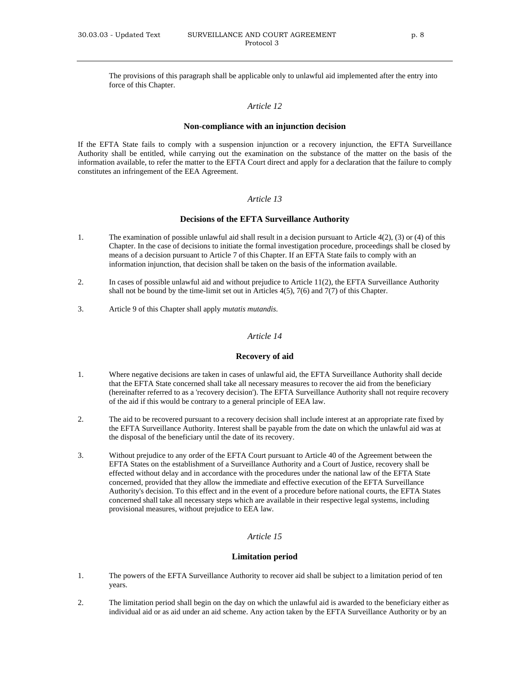The provisions of this paragraph shall be applicable only to unlawful aid implemented after the entry into force of this Chapter.

## *Article 12*

#### **Non-compliance with an injunction decision**

If the EFTA State fails to comply with a suspension injunction or a recovery injunction, the EFTA Surveillance Authority shall be entitled, while carrying out the examination on the substance of the matter on the basis of the information available, to refer the matter to the EFTA Court direct and apply for a declaration that the failure to comply constitutes an infringement of the EEA Agreement.

## *Article 13*

## **Decisions of the EFTA Surveillance Authority**

- 1. The examination of possible unlawful aid shall result in a decision pursuant to Article 4(2), (3) or (4) of this Chapter. In the case of decisions to initiate the formal investigation procedure, proceedings shall be closed by means of a decision pursuant to Article 7 of this Chapter. If an EFTA State fails to comply with an information injunction, that decision shall be taken on the basis of the information available.
- 2. In cases of possible unlawful aid and without prejudice to Article 11(2), the EFTA Surveillance Authority shall not be bound by the time-limit set out in Articles 4(5), 7(6) and 7(7) of this Chapter.
- 3. Article 9 of this Chapter shall apply *mutatis mutandis*.

## *Article 14*

## **Recovery of aid**

- 1. Where negative decisions are taken in cases of unlawful aid, the EFTA Surveillance Authority shall decide that the EFTA State concerned shall take all necessary measures to recover the aid from the beneficiary (hereinafter referred to as a 'recovery decision'). The EFTA Surveillance Authority shall not require recovery of the aid if this would be contrary to a general principle of EEA law.
- 2. The aid to be recovered pursuant to a recovery decision shall include interest at an appropriate rate fixed by the EFTA Surveillance Authority. Interest shall be payable from the date on which the unlawful aid was at the disposal of the beneficiary until the date of its recovery.
- 3. Without prejudice to any order of the EFTA Court pursuant to Article 40 of the Agreement between the EFTA States on the establishment of a Surveillance Authority and a Court of Justice, recovery shall be effected without delay and in accordance with the procedures under the national law of the EFTA State concerned, provided that they allow the immediate and effective execution of the EFTA Surveillance Authority's decision. To this effect and in the event of a procedure before national courts, the EFTA States concerned shall take all necessary steps which are available in their respective legal systems, including provisional measures, without prejudice to EEA law.

## *Article 15*

## **Limitation period**

- 1. The powers of the EFTA Surveillance Authority to recover aid shall be subject to a limitation period of ten years.
- 2. The limitation period shall begin on the day on which the unlawful aid is awarded to the beneficiary either as individual aid or as aid under an aid scheme. Any action taken by the EFTA Surveillance Authority or by an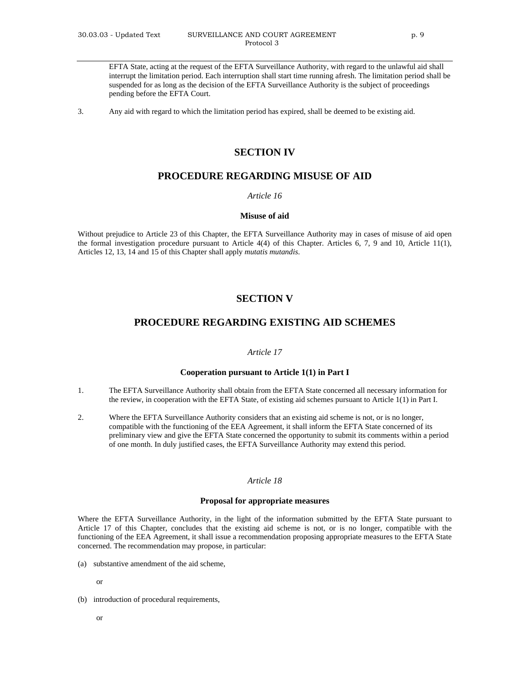EFTA State, acting at the request of the EFTA Surveillance Authority, with regard to the unlawful aid shall interrupt the limitation period. Each interruption shall start time running afresh. The limitation period shall be suspended for as long as the decision of the EFTA Surveillance Authority is the subject of proceedings pending before the EFTA Court.

3. Any aid with regard to which the limitation period has expired, shall be deemed to be existing aid.

## **SECTION IV**

## **PROCEDURE REGARDING MISUSE OF AID**

*Article 16*

### **Misuse of aid**

Without prejudice to Article 23 of this Chapter, the EFTA Surveillance Authority may in cases of misuse of aid open the formal investigation procedure pursuant to Article 4(4) of this Chapter. Articles 6, 7, 9 and 10, Article 11(1), Articles 12, 13, 14 and 15 of this Chapter shall apply *mutatis mutandis*.

## **SECTION V**

## **PROCEDURE REGARDING EXISTING AID SCHEMES**

## *Article 17*

#### **Cooperation pursuant to Article 1(1) in Part I**

- 1. The EFTA Surveillance Authority shall obtain from the EFTA State concerned all necessary information for the review, in cooperation with the EFTA State, of existing aid schemes pursuant to Article 1(1) in Part I.
- 2. Where the EFTA Surveillance Authority considers that an existing aid scheme is not, or is no longer, compatible with the functioning of the EEA Agreement, it shall inform the EFTA State concerned of its preliminary view and give the EFTA State concerned the opportunity to submit its comments within a period of one month. In duly justified cases, the EFTA Surveillance Authority may extend this period.

## *Article 18*

## **Proposal for appropriate measures**

Where the EFTA Surveillance Authority, in the light of the information submitted by the EFTA State pursuant to Article 17 of this Chapter, concludes that the existing aid scheme is not, or is no longer, compatible with the functioning of the EEA Agreement, it shall issue a recommendation proposing appropriate measures to the EFTA State concerned. The recommendation may propose, in particular:

(a) substantive amendment of the aid scheme,

or

- (b) introduction of procedural requirements,
	- or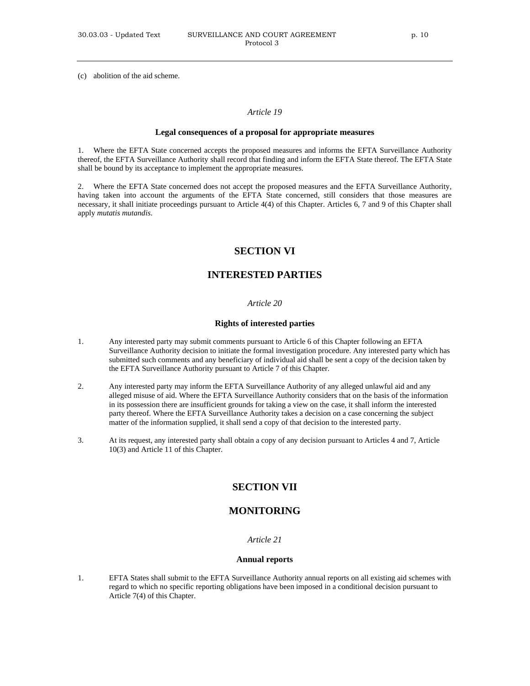p. 10

(c) abolition of the aid scheme.

#### *Article 19*

#### **Legal consequences of a proposal for appropriate measures**

1. Where the EFTA State concerned accepts the proposed measures and informs the EFTA Surveillance Authority thereof, the EFTA Surveillance Authority shall record that finding and inform the EFTA State thereof. The EFTA State shall be bound by its acceptance to implement the appropriate measures.

2. Where the EFTA State concerned does not accept the proposed measures and the EFTA Surveillance Authority, having taken into account the arguments of the EFTA State concerned, still considers that those measures are necessary, it shall initiate proceedings pursuant to Article 4(4) of this Chapter. Articles 6, 7 and 9 of this Chapter shall apply *mutatis mutandis*.

## **SECTION VI**

## **INTERESTED PARTIES**

#### *Article 20*

## **Rights of interested parties**

- 1. Any interested party may submit comments pursuant to Article 6 of this Chapter following an EFTA Surveillance Authority decision to initiate the formal investigation procedure. Any interested party which has submitted such comments and any beneficiary of individual aid shall be sent a copy of the decision taken by the EFTA Surveillance Authority pursuant to Article 7 of this Chapter.
- 2. Any interested party may inform the EFTA Surveillance Authority of any alleged unlawful aid and any alleged misuse of aid. Where the EFTA Surveillance Authority considers that on the basis of the information in its possession there are insufficient grounds for taking a view on the case, it shall inform the interested party thereof. Where the EFTA Surveillance Authority takes a decision on a case concerning the subject matter of the information supplied, it shall send a copy of that decision to the interested party.
- 3. At its request, any interested party shall obtain a copy of any decision pursuant to Articles 4 and 7, Article 10(3) and Article 11 of this Chapter.

## **SECTION VII**

## **MONITORING**

#### *Article 21*

#### **Annual reports**

1. EFTA States shall submit to the EFTA Surveillance Authority annual reports on all existing aid schemes with regard to which no specific reporting obligations have been imposed in a conditional decision pursuant to Article 7(4) of this Chapter.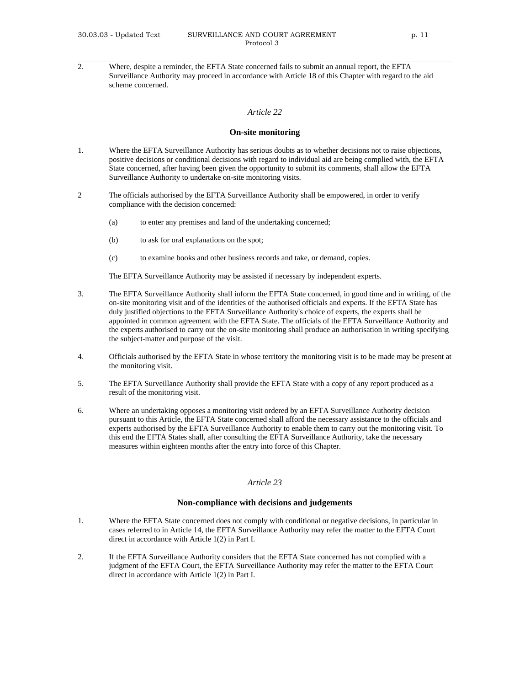2. Where, despite a reminder, the EFTA State concerned fails to submit an annual report, the EFTA Surveillance Authority may proceed in accordance with Article 18 of this Chapter with regard to the aid scheme concerned.

### *Article 22*

#### **On-site monitoring**

- 1. Where the EFTA Surveillance Authority has serious doubts as to whether decisions not to raise objections, positive decisions or conditional decisions with regard to individual aid are being complied with, the EFTA State concerned, after having been given the opportunity to submit its comments, shall allow the EFTA Surveillance Authority to undertake on-site monitoring visits.
- 2 The officials authorised by the EFTA Surveillance Authority shall be empowered, in order to verify compliance with the decision concerned:
	- (a) to enter any premises and land of the undertaking concerned;
	- (b) to ask for oral explanations on the spot;
	- (c) to examine books and other business records and take, or demand, copies.

The EFTA Surveillance Authority may be assisted if necessary by independent experts.

- 3. The EFTA Surveillance Authority shall inform the EFTA State concerned, in good time and in writing, of the on-site monitoring visit and of the identities of the authorised officials and experts. If the EFTA State has duly justified objections to the EFTA Surveillance Authority's choice of experts, the experts shall be appointed in common agreement with the EFTA State. The officials of the EFTA Surveillance Authority and the experts authorised to carry out the on-site monitoring shall produce an authorisation in writing specifying the subject-matter and purpose of the visit.
- 4. Officials authorised by the EFTA State in whose territory the monitoring visit is to be made may be present at the monitoring visit.
- 5. The EFTA Surveillance Authority shall provide the EFTA State with a copy of any report produced as a result of the monitoring visit.
- 6. Where an undertaking opposes a monitoring visit ordered by an EFTA Surveillance Authority decision pursuant to this Article, the EFTA State concerned shall afford the necessary assistance to the officials and experts authorised by the EFTA Surveillance Authority to enable them to carry out the monitoring visit. To this end the EFTA States shall, after consulting the EFTA Surveillance Authority, take the necessary measures within eighteen months after the entry into force of this Chapter.

## *Article 23*

### **Non-compliance with decisions and judgements**

- 1. Where the EFTA State concerned does not comply with conditional or negative decisions, in particular in cases referred to in Article 14, the EFTA Surveillance Authority may refer the matter to the EFTA Court direct in accordance with Article 1(2) in Part I.
- 2. If the EFTA Surveillance Authority considers that the EFTA State concerned has not complied with a judgment of the EFTA Court, the EFTA Surveillance Authority may refer the matter to the EFTA Court direct in accordance with Article 1(2) in Part I.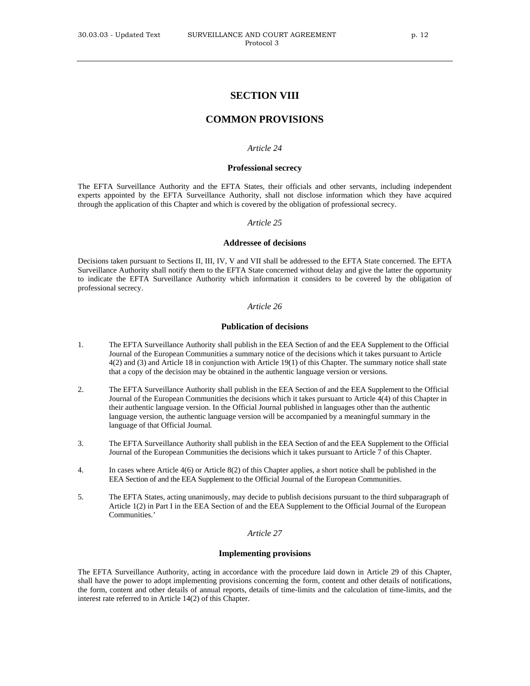## **SECTION VIII**

## **COMMON PROVISIONS**

## *Article 24*

#### **Professional secrecy**

The EFTA Surveillance Authority and the EFTA States, their officials and other servants, including independent experts appointed by the EFTA Surveillance Authority, shall not disclose information which they have acquired through the application of this Chapter and which is covered by the obligation of professional secrecy.

#### *Article 25*

## **Addressee of decisions**

Decisions taken pursuant to Sections II, III, IV, V and VII shall be addressed to the EFTA State concerned. The EFTA Surveillance Authority shall notify them to the EFTA State concerned without delay and give the latter the opportunity to indicate the EFTA Surveillance Authority which information it considers to be covered by the obligation of professional secrecy.

#### *Article 26*

#### **Publication of decisions**

- 1. The EFTA Surveillance Authority shall publish in the EEA Section of and the EEA Supplement to the Official Journal of the European Communities a summary notice of the decisions which it takes pursuant to Article 4(2) and (3) and Article 18 in conjunction with Article 19(1) of this Chapter. The summary notice shall state that a copy of the decision may be obtained in the authentic language version or versions.
- 2. The EFTA Surveillance Authority shall publish in the EEA Section of and the EEA Supplement to the Official Journal of the European Communities the decisions which it takes pursuant to Article 4(4) of this Chapter in their authentic language version. In the Official Journal published in languages other than the authentic language version, the authentic language version will be accompanied by a meaningful summary in the language of that Official Journal*.*
- 3. The EFTA Surveillance Authority shall publish in the EEA Section of and the EEA Supplement to the Official Journal of the European Communities the decisions which it takes pursuant to Article 7 of this Chapter.
- 4. In cases where Article 4(6) or Article 8(2) of this Chapter applies, a short notice shall be published in the EEA Section of and the EEA Supplement to the Official Journal of the European Communities.
- 5. The EFTA States, acting unanimously, may decide to publish decisions pursuant to the third subparagraph of Article 1(2) in Part I in the EEA Section of and the EEA Supplement to the Official Journal of the European Communities.'

## *Article 27*

## **Implementing provisions**

The EFTA Surveillance Authority, acting in accordance with the procedure laid down in Article 29 of this Chapter, shall have the power to adopt implementing provisions concerning the form, content and other details of notifications, the form, content and other details of annual reports, details of time-limits and the calculation of time-limits, and the interest rate referred to in Article 14(2) of this Chapter.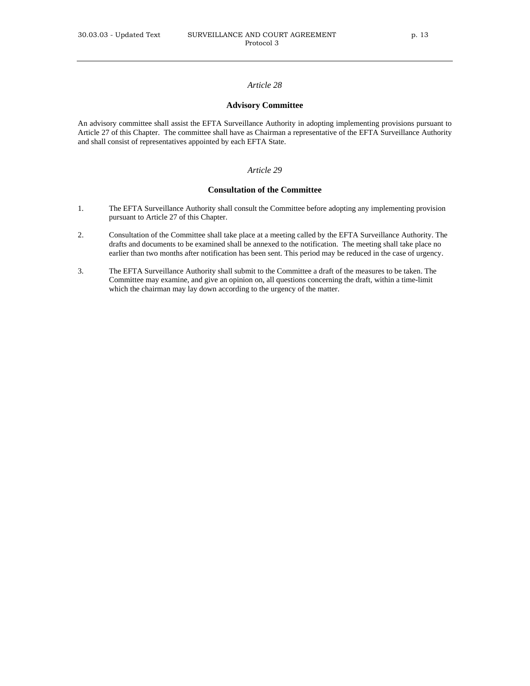## *Article 28*

#### **Advisory Committee**

An advisory committee shall assist the EFTA Surveillance Authority in adopting implementing provisions pursuant to Article 27 of this Chapter. The committee shall have as Chairman a representative of the EFTA Surveillance Authority and shall consist of representatives appointed by each EFTA State.

## *Article 29*

## **Consultation of the Committee**

- 1. The EFTA Surveillance Authority shall consult the Committee before adopting any implementing provision pursuant to Article 27 of this Chapter.
- 2. Consultation of the Committee shall take place at a meeting called by the EFTA Surveillance Authority. The drafts and documents to be examined shall be annexed to the notification. The meeting shall take place no earlier than two months after notification has been sent. This period may be reduced in the case of urgency.
- 3. The EFTA Surveillance Authority shall submit to the Committee a draft of the measures to be taken. The Committee may examine, and give an opinion on, all questions concerning the draft, within a time-limit which the chairman may lay down according to the urgency of the matter.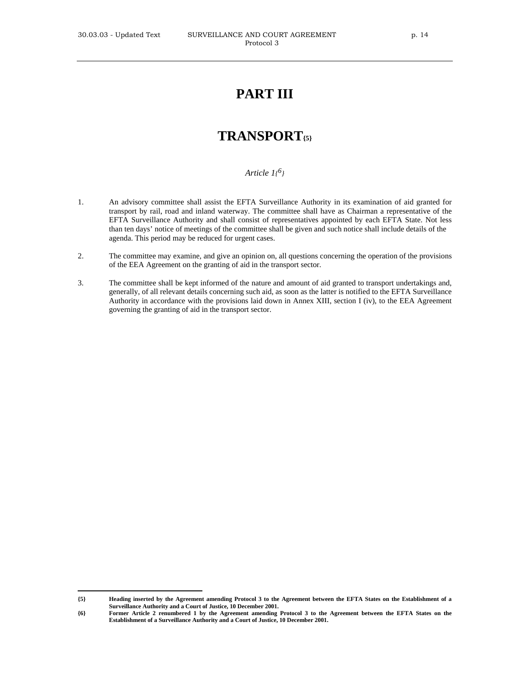# **PART III**

# **TRANSPORT{[5}](#page-13-0)**

## *Article 1{[6}](#page-13-1)*

- 1. An advisory committee shall assist the EFTA Surveillance Authority in its examination of aid granted for transport by rail, road and inland waterway. The committee shall have as Chairman a representative of the EFTA Surveillance Authority and shall consist of representatives appointed by each EFTA State. Not less than ten days' notice of meetings of the committee shall be given and such notice shall include details of the agenda. This period may be reduced for urgent cases.
- 2. The committee may examine, and give an opinion on, all questions concerning the operation of the provisions of the EEA Agreement on the granting of aid in the transport sector.
- 3. The committee shall be kept informed of the nature and amount of aid granted to transport undertakings and, generally, of all relevant details concerning such aid, as soon as the latter is notified to the EFTA Surveillance Authority in accordance with the provisions laid down in Annex XIII, section I (iv), to the EEA Agreement governing the granting of aid in the transport sector.

<span id="page-13-0"></span>**<sup>{5}</sup> Heading inserted by the Agreement amending Protocol 3 to the Agreement between the EFTA States on the Establishment of a Surveillance Authority and a Court of Justice, 10 December 2001.** 

<span id="page-13-1"></span>**<sup>{6}</sup> Former Article 2 renumbered 1 by the Agreement amending Protocol 3 to the Agreement between the EFTA States on the Establishment of a Surveillance Authority and a Court of Justice, 10 December 2001.**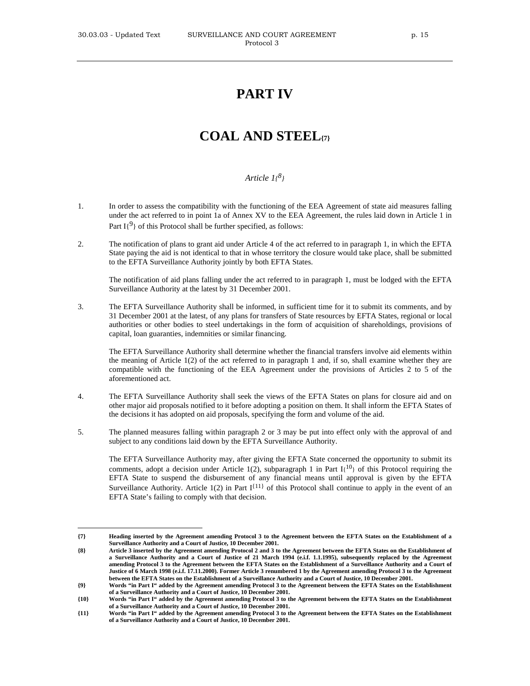# **PART IV**

# **COAL AND STEEL[{7}](#page-14-0)**

## *Article 1{[8}](#page-14-1)*

- 1. In order to assess the compatibility with the functioning of the EEA Agreement of state aid measures falling under the act referred to in point 1a of Annex XV to the EEA Agreement, the rules laid down in Article 1 in Part  $I_1^{9}$  $I_1^{9}$  of this Protocol shall be further specified, as follows:
- 2. The notification of plans to grant aid under Article 4 of the act referred to in paragraph 1, in which the EFTA State paying the aid is not identical to that in whose territory the closure would take place, shall be submitted to the EFTA Surveillance Authority jointly by both EFTA States.

The notification of aid plans falling under the act referred to in paragraph 1, must be lodged with the EFTA Surveillance Authority at the latest by 31 December 2001.

3. The EFTA Surveillance Authority shall be informed, in sufficient time for it to submit its comments, and by 31 December 2001 at the latest, of any plans for transfers of State resources by EFTA States, regional or local authorities or other bodies to steel undertakings in the form of acquisition of shareholdings, provisions of capital, loan guaranties, indemnities or similar financing.

The EFTA Surveillance Authority shall determine whether the financial transfers involve aid elements within the meaning of Article 1(2) of the act referred to in paragraph 1 and, if so, shall examine whether they are compatible with the functioning of the EEA Agreement under the provisions of Articles 2 to 5 of the aforementioned act.

- 4. The EFTA Surveillance Authority shall seek the views of the EFTA States on plans for closure aid and on other major aid proposals notified to it before adopting a position on them. It shall inform the EFTA States of the decisions it has adopted on aid proposals, specifying the form and volume of the aid.
- 5. The planned measures falling within paragraph 2 or 3 may be put into effect only with the approval of and subject to any conditions laid down by the EFTA Surveillance Authority.

The EFTA Surveillance Authority may, after giving the EFTA State concerned the opportunity to submit its comments, adopt a decision under Article 1(2), subparagraph 1 in Part  $I_1^{10}$  $I_1^{10}$  of this Protocol requiring the EFTA State to suspend the disbursement of any financial means until approval is given by the EFTA Surveillance Authority. Article 1(2) in Part  $I^{(11)}$  of this Protocol shall continue to apply in the event of an EFTA State's failing to comply with that decision.

<span id="page-14-0"></span>**<sup>{7}</sup> Heading inserted by the Agreement amending Protocol 3 to the Agreement between the EFTA States on the Establishment of a Surveillance Authority and a Court of Justice, 10 December 2001.** 

<span id="page-14-1"></span>**<sup>{8}</sup> Article 3 inserted by the Agreement amending Protocol 2 and 3 to the Agreement between the EFTA States on the Establishment of a Surveillance Authority and a Court of Justice of 21 March 1994 (e.i.f. 1.1.1995), subsequently replaced by the Agreement amending Protocol 3 to the Agreement between the EFTA States on the Establishment of a Surveillance Authority and a Court of Justice of 6 March 1998 (e.i.f. 17.11.2000). Former Article 3 renumbered 1 by the Agreement amending Protocol 3 to the Agreement between the EFTA States on the Establishment of a Surveillance Authority and a Court of Justice, 10 December 2001.** 

<span id="page-14-2"></span>**<sup>{9}</sup> Words "in Part I" added by the Agreement amending Protocol 3 to the Agreement between the EFTA States on the Establishment of a Surveillance Authority and a Court of Justice, 10 December 2001.** 

<span id="page-14-3"></span>**<sup>{10}</sup> Words "in Part I" added by the Agreement amending Protocol 3 to the Agreement between the EFTA States on the Establishment of a Surveillance Authority and a Court of Justice, 10 December 2001.** 

<span id="page-14-4"></span>**<sup>{11}</sup> Words "in Part I" added by the Agreement amending Protocol 3 to the Agreement between the EFTA States on the Establishment of a Surveillance Authority and a Court of Justice, 10 December 2001.**